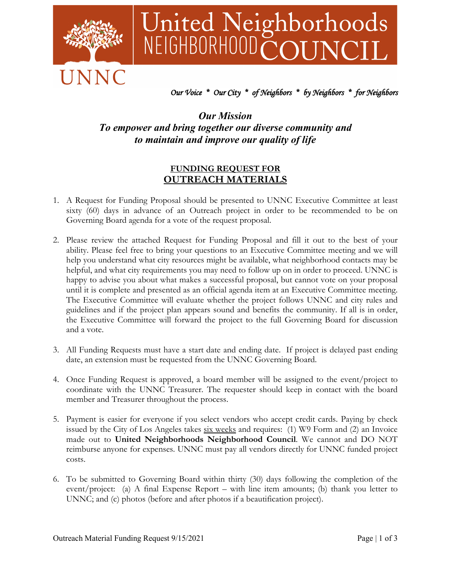

# United Neighborhoods<br>NEIGHBORHOODCOUNCIL

## *Our Voice \* Our City \* of Neighbors \* by Neighbors \* for Neighbors*

## *Our Mission To empower and bring together our diverse community and to maintain and improve our quality of life*

### **FUNDING REQUEST FOR OUTREACH MATERIALS**

- 1. A Request for Funding Proposal should be presented to UNNC Executive Committee at least sixty (60) days in advance of an Outreach project in order to be recommended to be on Governing Board agenda for a vote of the request proposal.
- 2. Please review the attached Request for Funding Proposal and fill it out to the best of your ability. Please feel free to bring your questions to an Executive Committee meeting and we will help you understand what city resources might be available, what neighborhood contacts may be helpful, and what city requirements you may need to follow up on in order to proceed. UNNC is happy to advise you about what makes a successful proposal, but cannot vote on your proposal until it is complete and presented as an official agenda item at an Executive Committee meeting. The Executive Committee will evaluate whether the project follows UNNC and city rules and guidelines and if the project plan appears sound and benefits the community. If all is in order, the Executive Committee will forward the project to the full Governing Board for discussion and a vote.
- 3. All Funding Requests must have a start date and ending date. If project is delayed past ending date, an extension must be requested from the UNNC Governing Board.
- 4. Once Funding Request is approved, a board member will be assigned to the event/project to coordinate with the UNNC Treasurer. The requester should keep in contact with the board member and Treasurer throughout the process.
- 5. Payment is easier for everyone if you select vendors who accept credit cards. Paying by check issued by the City of Los Angeles takes  $six$  weeks and requires: (1) W9 Form and (2) an Invoice made out to **United Neighborhoods Neighborhood Council**. We cannot and DO NOT reimburse anyone for expenses. UNNC must pay all vendors directly for UNNC funded project costs.
- 6. To be submitted to Governing Board within thirty (30) days following the completion of the event/project: (a) A final Expense Report – with line item amounts; (b) thank you letter to UNNC; and (c) photos (before and after photos if a beautification project).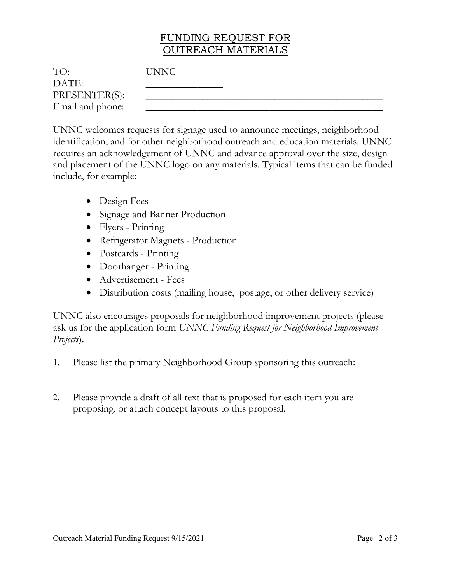# FUNDING REQUEST FOR OUTREACH MATERIALS

| TO:              | <b>UNNC</b> |
|------------------|-------------|
| DATE:            |             |
| PRESENTER(S):    |             |
| Email and phone: |             |

UNNC welcomes requests for signage used to announce meetings, neighborhood identification, and for other neighborhood outreach and education materials. UNNC requires an acknowledgement of UNNC and advance approval over the size, design and placement of the UNNC logo on any materials. Typical items that can be funded include, for example:

- Design Fees
- Signage and Banner Production
- Flyers Printing
- Refrigerator Magnets Production
- Postcards Printing
- Doorhanger Printing
- Advertisement Fees
- Distribution costs (mailing house, postage, or other delivery service)

UNNC also encourages proposals for neighborhood improvement projects (please ask us for the application form *UNNC Funding Request for Neighborhood Improvement Projects*).

- 1. Please list the primary Neighborhood Group sponsoring this outreach:
- 2. Please provide a draft of all text that is proposed for each item you are proposing, or attach concept layouts to this proposal.